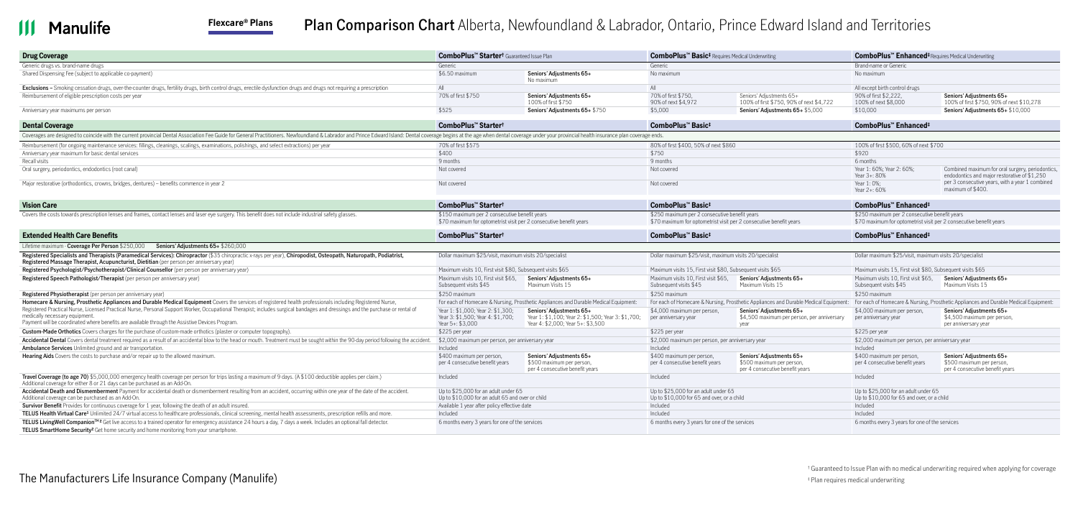### **Manulife** Ш

# **Flexcare® Plans Plan Comparison Chart** Alberta, Newfoundland & Labrador, Ontario, Prince Edward Island and Territories

| <b>Drug Coverage</b>                                                                                                                                                                                                                                                                                               | <b>ComboPlus™ Starter<sup>†</sup> Guaranteed Issue Plan</b>                                                         |                                                                                                                     | <b>ComboPlus™ Basic<sup>‡</sup></b> Requires Medical Underwriting                                                   |                                                                                          | ComboPlus <sup>"</sup> Enhanced <sup>‡</sup> Requires Medical Underwriting                                          |                                                                                                                                                                           |  |
|--------------------------------------------------------------------------------------------------------------------------------------------------------------------------------------------------------------------------------------------------------------------------------------------------------------------|---------------------------------------------------------------------------------------------------------------------|---------------------------------------------------------------------------------------------------------------------|---------------------------------------------------------------------------------------------------------------------|------------------------------------------------------------------------------------------|---------------------------------------------------------------------------------------------------------------------|---------------------------------------------------------------------------------------------------------------------------------------------------------------------------|--|
| Generic drugs vs. brand-name drugs                                                                                                                                                                                                                                                                                 | Generic                                                                                                             |                                                                                                                     | Generic                                                                                                             |                                                                                          | Brand-name or Generic                                                                                               |                                                                                                                                                                           |  |
| Shared Dispensing Fee (subject to applicable co-payment)                                                                                                                                                                                                                                                           | \$6.50 maximum                                                                                                      | Seniors' Adiustments 65+<br>No maximum                                                                              | No maximum                                                                                                          |                                                                                          | No maximum                                                                                                          |                                                                                                                                                                           |  |
| <b>Exclusions -</b> Smoking cessation drugs, over-the-counter drugs, fertility drugs, birth control drugs, erectile dysfunction drugs and drugs not requiring a prescription                                                                                                                                       | All                                                                                                                 |                                                                                                                     | All                                                                                                                 |                                                                                          | All except birth control drugs                                                                                      |                                                                                                                                                                           |  |
| Reimbursement of eligible prescription costs per year                                                                                                                                                                                                                                                              | 70% of first \$750                                                                                                  | Seniors' Adjustments 65+<br>100% of first \$750                                                                     | 70% of first \$750,<br>90% of next \$4.972                                                                          | Seniors' Adiustments 65+<br>100% of first \$750, 90% of next \$4,722                     | 90% of first \$2,222,<br>100% of next \$8,000                                                                       | Seniors' Adjustments 65+<br>100% of first \$750, 90% of next \$10,278                                                                                                     |  |
| Anniversary year maximums per person                                                                                                                                                                                                                                                                               | \$525                                                                                                               | Seniors' Adjustments 65+ \$750                                                                                      | \$5,000                                                                                                             | Seniors' Adjustments 65+ \$5,000                                                         | \$10,000                                                                                                            | Seniors' Adjustments 65+ \$10,000                                                                                                                                         |  |
| <b>Dental Coverage</b>                                                                                                                                                                                                                                                                                             | ComboPlus™ Starter <sup>†</sup>                                                                                     |                                                                                                                     | ComboPlus <sup>™</sup> Basic <sup>‡</sup>                                                                           |                                                                                          | ComboPlus™ Enhanced <sup>‡</sup>                                                                                    |                                                                                                                                                                           |  |
| Coverages are designed to coincide with the current provincial Dental Association Fee Guide for General Practitioners. Newfoundland & Labrador and Prince Edward Island: Dental coverage begins at the age when dental coverag                                                                                     |                                                                                                                     |                                                                                                                     |                                                                                                                     |                                                                                          |                                                                                                                     |                                                                                                                                                                           |  |
| Reimbursement (for ongoing maintenance services: fillings, cleanings, scalings, examinations, polishings, and select extractions) per year                                                                                                                                                                         | 70% of first \$575                                                                                                  |                                                                                                                     | 80% of first \$400, 50% of next \$860                                                                               |                                                                                          | 100% of first \$500, 60% of next \$700                                                                              |                                                                                                                                                                           |  |
| Anniversary year maximum for basic dental services                                                                                                                                                                                                                                                                 | \$400                                                                                                               |                                                                                                                     | \$750                                                                                                               |                                                                                          | \$920                                                                                                               |                                                                                                                                                                           |  |
| Recall visits                                                                                                                                                                                                                                                                                                      | 9 months                                                                                                            |                                                                                                                     | 9 months                                                                                                            |                                                                                          | 6 months                                                                                                            |                                                                                                                                                                           |  |
| Oral surgery, periodontics, endodontics (root canal)                                                                                                                                                                                                                                                               | Not covered                                                                                                         |                                                                                                                     | Not covered                                                                                                         |                                                                                          | Year 1: 60%; Year 2: 60%;<br>Year 3+: 80%                                                                           | Combined maximum for oral surgery, periodontics.<br>endodontics and major restorative of \$1,250                                                                          |  |
| Major restorative (orthodontics, crowns, bridges, dentures) – benefits commence in year 2                                                                                                                                                                                                                          | Not covered                                                                                                         |                                                                                                                     | Not covered                                                                                                         |                                                                                          | Year 1: 0%:<br>Year 2+: 60%                                                                                         | per 3 consecutive years, with a year 1 combined<br>maximum of \$400.                                                                                                      |  |
| <b>Vision Care</b>                                                                                                                                                                                                                                                                                                 | ComboPlus™ Starter <sup>†</sup>                                                                                     |                                                                                                                     | ComboPlus™ Basic‡                                                                                                   |                                                                                          | ComboPlus™ Enhanced <sup>‡</sup>                                                                                    |                                                                                                                                                                           |  |
| Covers the costs towards prescription lenses and frames, contact lenses and laser eye surgery. This benefit does not include industrial safety glasses.                                                                                                                                                            | \$150 maximum per 2 consecutive benefit years<br>\$70 maximum for optometrist visit per 2 consecutive benefit years |                                                                                                                     | \$250 maximum per 2 consecutive benefit years<br>\$70 maximum for optometrist visit per 2 consecutive benefit years |                                                                                          | \$250 maximum per 2 consecutive benefit years<br>\$70 maximum for optometrist visit per 2 consecutive benefit years |                                                                                                                                                                           |  |
| <b>Extended Health Care Benefits</b>                                                                                                                                                                                                                                                                               | ComboPlus <sup>™</sup> Starter <sup>†</sup>                                                                         |                                                                                                                     | ComboPlus <sup>™</sup> Basic <sup>‡</sup>                                                                           |                                                                                          | ComboPlus™ Enhanced <sup>‡</sup>                                                                                    |                                                                                                                                                                           |  |
| Lifetime maximum - Coverage Per Person \$250,000 Seniors' Adjustments 65+ \$260,000                                                                                                                                                                                                                                |                                                                                                                     |                                                                                                                     |                                                                                                                     |                                                                                          |                                                                                                                     |                                                                                                                                                                           |  |
| Registered Specialists and Therapists (Paramedical Services): Chiropractor (\$35 chiropractic x-rays per year), Chiropodist, Osteopath, Naturopath, Podiatrist,<br>Registered Massage Therapist, Acupuncturist, Dietitian (per person per anniversary year)                                                        | Dollar maximum \$25/visit, maximum visits 20/specialist                                                             |                                                                                                                     | Dollar maximum \$25/visit, maximum visits 20/specialist                                                             |                                                                                          | Dollar maximum \$25/visit, maximum visits 20/specialist                                                             |                                                                                                                                                                           |  |
| Registered Psychologist/Psychotherapist/Clinical Counsellor (per person per anniversary year)                                                                                                                                                                                                                      | Maximum visits 10. First visit \$80. Subsequent visits \$65                                                         |                                                                                                                     | Maximum visits 15, First visit \$80, Subsequent visits \$65                                                         |                                                                                          | Maximum visits 15. First visit \$80. Subsequent visits \$65                                                         |                                                                                                                                                                           |  |
| Registered Speech Pathologist/Therapist (per person per anniversary year)                                                                                                                                                                                                                                          | Maximum visits 10, First visit \$65,<br>Subsequent visits \$45                                                      | Seniors' Adjustments 65+<br>Maximum Visits 15                                                                       | Maximum visits 10, First visit \$65,<br>Subsequent visits \$45                                                      | Seniors' Adjustments 65+<br>Maximum Visits 15                                            | Maximum visits 10, First visit \$65,<br>Subsequent visits \$45                                                      | Seniors' Adjustments 65+<br>Maximum Visits 15                                                                                                                             |  |
| <b>Registered Physiotherapist</b> (per person per anniversary year)                                                                                                                                                                                                                                                | \$250 maximum                                                                                                       |                                                                                                                     | \$250 maximum                                                                                                       |                                                                                          | \$250 maximum                                                                                                       |                                                                                                                                                                           |  |
| Homecare & Nursing, Prosthetic Appliances and Durable Medical Equipment Covers the services of registered health professionals including Registered Nurse,                                                                                                                                                         |                                                                                                                     | For each of Homecare & Nursing, Prosthetic Appliances and Durable Medical Equipment:                                |                                                                                                                     |                                                                                          |                                                                                                                     | For each of Homecare & Nursing, Prosthetic Appliances and Durable Medical Equipment: For each of Homecare & Nursing, Prosthetic Appliances and Durable Medical Equipment: |  |
| Registered Practical Nurse, Licensed Practical Nurse, Personal Support Worker, Occupational Therapist; includes surgical bandages and dressings and the purchase or rental of<br>medically necessary equipment.<br>Payment will be coordinated where benefits are available through the Assistive Devices Program. | Year 1: \$1,000: Year 2: \$1,300;<br>Year 3: \$1,500; Year 4: \$1,700;<br>Year $5+$ : \$3,000                       | Seniors' Adiustments 65+<br>Year 1: \$1,100; Year 2: \$1,500; Year 3: \$1,700;<br>Year 4: \$2,000; Year 5+: \$3,500 | \$4,000 maximum per person.<br>per anniversary year                                                                 | Seniors' Adjustments 65+<br>\$4,500 maximum per person, per anniversary<br>vear          | \$4,000 maximum per person.<br>per anniversary year                                                                 | Seniors' Adjustments 65+<br>\$4,500 maximum per person.<br>per anniversary year                                                                                           |  |
| <b>Custom-Made Orthotics</b> Covers charges for the purchase of custom-made orthotics (plaster or computer topography).                                                                                                                                                                                            | \$225 per year                                                                                                      |                                                                                                                     | \$225 per year                                                                                                      |                                                                                          | \$225 per year                                                                                                      |                                                                                                                                                                           |  |
| Accidental Dental Covers dental treatment required as a result of an accidental blow to the head or mouth. Treatment must be sought within the 90-day period following the accident.                                                                                                                               | \$2,000 maximum per person, per anniversary year                                                                    |                                                                                                                     | \$2,000 maximum per person, per anniversary year                                                                    |                                                                                          | \$2,000 maximum per person, per anniversary year                                                                    |                                                                                                                                                                           |  |
| <b>Ambulance Services</b> Unlimited ground and air transportation.                                                                                                                                                                                                                                                 | Included                                                                                                            |                                                                                                                     | Included                                                                                                            |                                                                                          | Included                                                                                                            |                                                                                                                                                                           |  |
| <b>Hearing Aids</b> Covers the costs to purchase and/or repair up to the allowed maximum.                                                                                                                                                                                                                          | \$400 maximum per person,<br>per 4 consecutive benefit years                                                        | Seniors' Adiustments 65+<br>\$500 maximum per person,<br>per 4 consecutive benefit years                            | \$400 maximum per person,<br>per 4 consecutive benefit years                                                        | Seniors' Adiustments 65+<br>\$500 maximum per person,<br>per 4 consecutive benefit years | \$400 maximum per person,<br>per 4 consecutive benefit years                                                        | Seniors' Adiustments 65+<br>\$500 maximum per person,<br>per 4 consecutive benefit years                                                                                  |  |
| Travel Coverage (to age 70) \$5,000,000 emergency health coverage per person for trips lasting a maximum of 9 days. (A \$100 deductible applies per claim.)<br>Additional coverage for either 8 or 21 days can be purchased as an Add-On.                                                                          | Included                                                                                                            |                                                                                                                     | Included                                                                                                            |                                                                                          | Included                                                                                                            |                                                                                                                                                                           |  |
| Accidental Death and Dismemberment Payment for accidental death or dismemberment resulting from an accident, occurring within one year of the date of the accident.<br>Additional coverage can be purchased as an Add-On.                                                                                          | Up to \$25,000 for an adult under 65<br>Up to \$10,000 for an adult 65 and over or child                            |                                                                                                                     | Up to \$25,000 for an adult under 65<br>Up to \$10,000 for 65 and over, or a child                                  |                                                                                          | Up to \$25,000 for an adult under 65<br>Up to \$10,000 for 65 and over, or a child                                  |                                                                                                                                                                           |  |
| <b>Survivor Benefit</b> Provides for continuous coverage for 1 year, following the death of an adult insured.                                                                                                                                                                                                      | Available 1 year after policy effective date                                                                        |                                                                                                                     | Included                                                                                                            |                                                                                          | Included                                                                                                            |                                                                                                                                                                           |  |
| TELUS Health Virtual Care <sup>1</sup> Unlimited 24/7 virtual access to healthcare professionals, clinical screening, mental health assessments, prescription refills and more.                                                                                                                                    | Included                                                                                                            |                                                                                                                     | Included                                                                                                            |                                                                                          | Included                                                                                                            |                                                                                                                                                                           |  |
| TELUS LivingWell Companion™ <sup>2</sup> Get live access to a trained operator for emergency assistance 24 hours a day, 7 days a week. Includes an optional fall detector.<br><b>TELUS SmartHome Security<sup>2</sup></b> Get home security and home monitoring from your smartphone.                              | 6 months every 3 years for one of the services                                                                      |                                                                                                                     | 6 months every 3 years for one of the services                                                                      |                                                                                          | 6 months every 3 years for one of the services                                                                      |                                                                                                                                                                           |  |

<span id="page-0-0"></span>† Guaranteed to Issue Plan with no medical underwriting required when applying for coverage

<span id="page-0-1"></span>